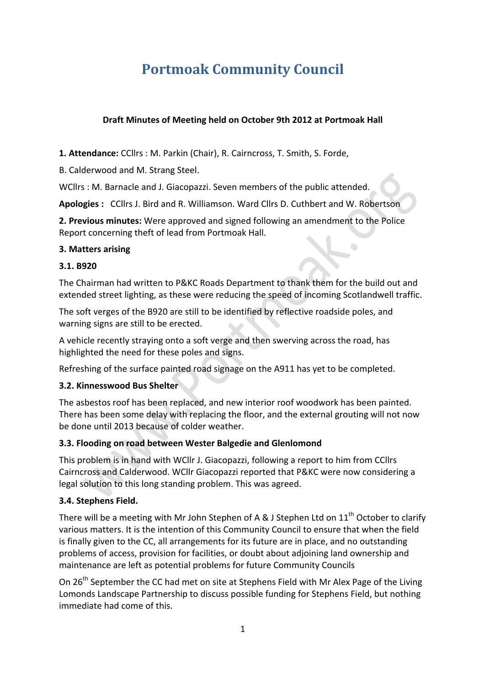# **Portmoak Community Council**

### **Draft Minutes of Meeting held on October 9th 2012 at Portmoak Hall**

1. Attendance: CCllrs : M. Parkin (Chair), R. Cairncross, T. Smith, S. Forde,

B. Calderwood and M. Strang Steel.

WCllrs : M. Barnacle and J. Giacopazzi. Seven members of the public attended.

**Apologies:** CCllrs J. Bird and R. Williamson. Ward Cllrs D. Cuthbert and W. Robertson

**2. Previous minutes:** Were approved and signed following an amendment to the Police Report concerning theft of lead from Portmoak Hall.

#### **3. Matters arising**

#### **3.1. B920**

The Chairman had written to P&KC Roads Department to thank them for the build out and extended street lighting, as these were reducing the speed of incoming Scotlandwell traffic.

The soft verges of the B920 are still to be identified by reflective roadside poles, and warning signs are still to be erected.

A vehicle recently straying onto a soft verge and then swerving across the road, has highlighted the need for these poles and signs.

Refreshing of the surface painted road signage on the A911 has yet to be completed.

#### **3.2. Kinnesswood Bus Shelter**

The asbestos roof has been replaced, and new interior roof woodwork has been painted. There has been some delay with replacing the floor, and the external grouting will not now be done until 2013 because of colder weather.

#### **3.3. Flooding on road between Wester Balgedie and Glenlomond**

This problem is in hand with WCllr J. Giacopazzi, following a report to him from CCllrs Cairncross and Calderwood. WCllr Giacopazzi reported that P&KC were now considering a legal solution to this long standing problem. This was agreed.

# **3.4. Stephens Field.**

There will be a meeting with Mr John Stephen of A & J Stephen Ltd on  $11<sup>th</sup>$  October to clarify various matters. It is the intention of this Community Council to ensure that when the field is finally given to the CC, all arrangements for its future are in place, and no outstanding problems of access, provision for facilities, or doubt about adjoining land ownership and maintenance are left as potential problems for future Community Councils

On  $26<sup>th</sup>$  September the CC had met on site at Stephens Field with Mr Alex Page of the Living Lomonds Landscape Partnership to discuss possible funding for Stephens Field, but nothing immediate had come of this.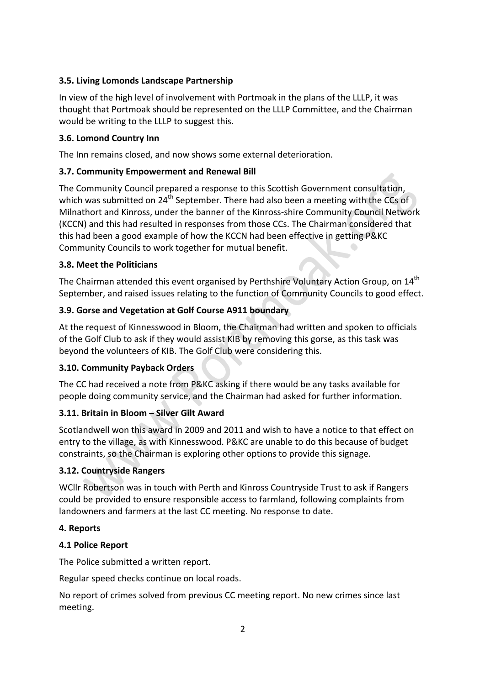# **3.5. Living Lomonds Landscape Partnership**

In view of the high level of involvement with Portmoak in the plans of the LLLP, it was thought that Portmoak should be represented on the LLLP Committee, and the Chairman would be writing to the LLLP to suggest this.

### **3.6. Lomond Country Inn**

The Inn remains closed, and now shows some external deterioration.

### **3.7. Community Empowerment and Renewal Bill**

The Community Council prepared a response to this Scottish Government consultation, which was submitted on  $24<sup>th</sup>$  September. There had also been a meeting with the CCs of Milnathort and Kinross, under the banner of the Kinross-shire Community Council Network (KCCN) and this had resulted in responses from those CCs. The Chairman considered that this had been a good example of how the KCCN had been effective in getting P&KC Community Councils to work together for mutual benefit.

#### **3.8. Meet the Politicians**

The Chairman attended this event organised by Perthshire Voluntary Action Group, on  $14<sup>th</sup>$ September, and raised issues relating to the function of Community Councils to good effect.

# **3.9. Gorse and Vegetation at Golf Course A911 boundary**

At the request of Kinnesswood in Bloom, the Chairman had written and spoken to officials of the Golf Club to ask if they would assist KIB by removing this gorse, as this task was beyond the volunteers of KIB. The Golf Club were considering this.

# **3.10. Community Payback Orders**

The CC had received a note from P&KC asking if there would be any tasks available for people doing community service, and the Chairman had asked for further information.

# **3.11. Britain in Bloom – Silver Gilt Award**

Scotlandwell won this award in 2009 and 2011 and wish to have a notice to that effect on entry to the village, as with Kinnesswood. P&KC are unable to do this because of budget constraints, so the Chairman is exploring other options to provide this signage.

# **3.12. Countryside Rangers**

WCllr Robertson was in touch with Perth and Kinross Countryside Trust to ask if Rangers could be provided to ensure responsible access to farmland, following complaints from landowners and farmers at the last CC meeting. No response to date.

#### **4. Reports**

# **4.1 Police Report**

The Police submitted a written report.

Regular speed checks continue on local roads.

No report of crimes solved from previous CC meeting report. No new crimes since last meeting.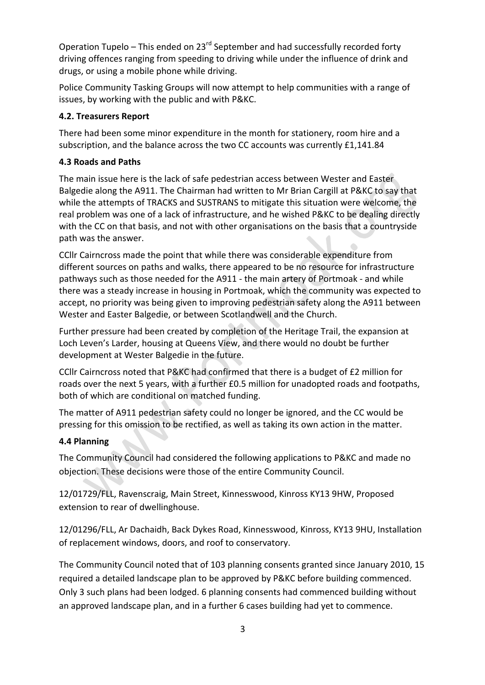Operation Tupelo – This ended on  $23^{rd}$  September and had successfully recorded forty driving offences ranging from speeding to driving while under the influence of drink and drugs, or using a mobile phone while driving.

Police Community Tasking Groups will now attempt to help communities with a range of issues, by working with the public and with P&KC.

# **4.2. Treasurers Report**

There had been some minor expenditure in the month for stationery, room hire and a subscription, and the balance across the two CC accounts was currently  $£1,141.84$ 

# **4.3 Roads and Paths**

The main issue here is the lack of safe pedestrian access between Wester and Easter Balgedie along the A911. The Chairman had written to Mr Brian Cargill at P&KC to say that while the attempts of TRACKS and SUSTRANS to mitigate this situation were welcome, the real problem was one of a lack of infrastructure, and he wished P&KC to be dealing directly with the CC on that basis, and not with other organisations on the basis that a countryside path was the answer.

CCllr Cairncross made the point that while there was considerable expenditure from different sources on paths and walks, there appeared to be no resource for infrastructure pathways such as those needed for the A911 - the main artery of Portmoak - and while there was a steady increase in housing in Portmoak, which the community was expected to accept, no priority was being given to improving pedestrian safety along the A911 between Wester and Easter Balgedie, or between Scotlandwell and the Church.

Further pressure had been created by completion of the Heritage Trail, the expansion at Loch Leven's Larder, housing at Queens View, and there would no doubt be further development at Wester Balgedie in the future.

CCIIr Cairncross noted that P&KC had confirmed that there is a budget of £2 million for roads over the next 5 years, with a further £0.5 million for unadopted roads and footpaths, both of which are conditional on matched funding.

The matter of A911 pedestrian safety could no longer be ignored, and the CC would be pressing for this omission to be rectified, as well as taking its own action in the matter.

# **4.4 Planning**

The Community Council had considered the following applications to P&KC and made no objection. These decisions were those of the entire Community Council.

12/01729/FLL, Ravenscraig, Main Street, Kinnesswood, Kinross KY13 9HW, Proposed extension to rear of dwellinghouse.

12/01296/FLL, Ar Dachaidh, Back Dykes Road, Kinnesswood, Kinross, KY13 9HU, Installation of replacement windows, doors, and roof to conservatory.

The Community Council noted that of 103 planning consents granted since January 2010, 15 required a detailed landscape plan to be approved by P&KC before building commenced. Only 3 such plans had been lodged. 6 planning consents had commenced building without an approved landscape plan, and in a further 6 cases building had yet to commence.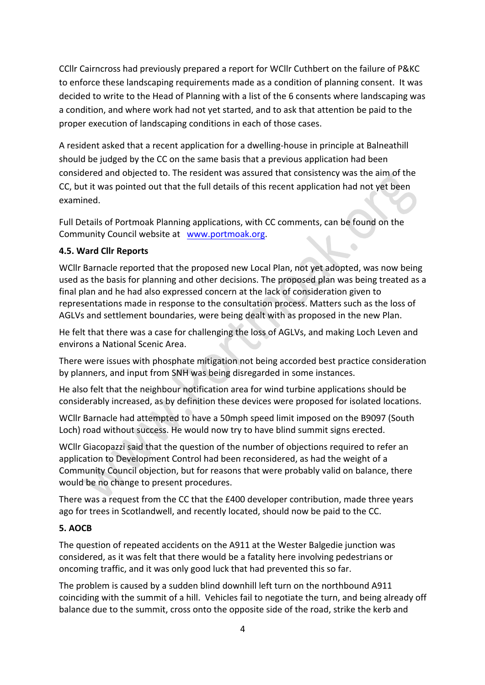CCIIr Cairncross had previously prepared a report for WCIIr Cuthbert on the failure of P&KC to enforce these landscaping requirements made as a condition of planning consent. It was decided to write to the Head of Planning with a list of the 6 consents where landscaping was a condition, and where work had not yet started, and to ask that attention be paid to the proper execution of landscaping conditions in each of those cases.

A resident asked that a recent application for a dwelling-house in principle at Balneathill should be judged by the CC on the same basis that a previous application had been considered and objected to. The resident was assured that consistency was the aim of the CC, but it was pointed out that the full details of this recent application had not yet been examined. 

Full Details of Portmoak Planning applications, with CC comments, can be found on the Community Council website at www.portmoak.org.

#### **4.5. Ward Cllr Reports**

WCllr Barnacle reported that the proposed new Local Plan, not yet adopted, was now being used as the basis for planning and other decisions. The proposed plan was being treated as a final plan and he had also expressed concern at the lack of consideration given to representations made in response to the consultation process. Matters such as the loss of AGLVs and settlement boundaries, were being dealt with as proposed in the new Plan.

 $\bullet$ 

He felt that there was a case for challenging the loss of AGLVs, and making Loch Leven and environs a National Scenic Area.

There were issues with phosphate mitigation not being accorded best practice consideration by planners, and input from SNH was being disregarded in some instances.

He also felt that the neighbour notification area for wind turbine applications should be considerably increased, as by definition these devices were proposed for isolated locations.

WCllr Barnacle had attempted to have a 50mph speed limit imposed on the B9097 (South Loch) road without success. He would now try to have blind summit signs erected.

WCllr Giacopazzi said that the question of the number of objections required to refer an application to Development Control had been reconsidered, as had the weight of a Community Council objection, but for reasons that were probably valid on balance, there would be no change to present procedures.

There was a request from the CC that the £400 developer contribution, made three years ago for trees in Scotlandwell, and recently located, should now be paid to the CC.

#### **5. AOCB**

The question of repeated accidents on the A911 at the Wester Balgedie junction was considered, as it was felt that there would be a fatality here involving pedestrians or oncoming traffic, and it was only good luck that had prevented this so far.

The problem is caused by a sudden blind downhill left turn on the northbound A911 coinciding with the summit of a hill. Vehicles fail to negotiate the turn, and being already off balance due to the summit, cross onto the opposite side of the road, strike the kerb and